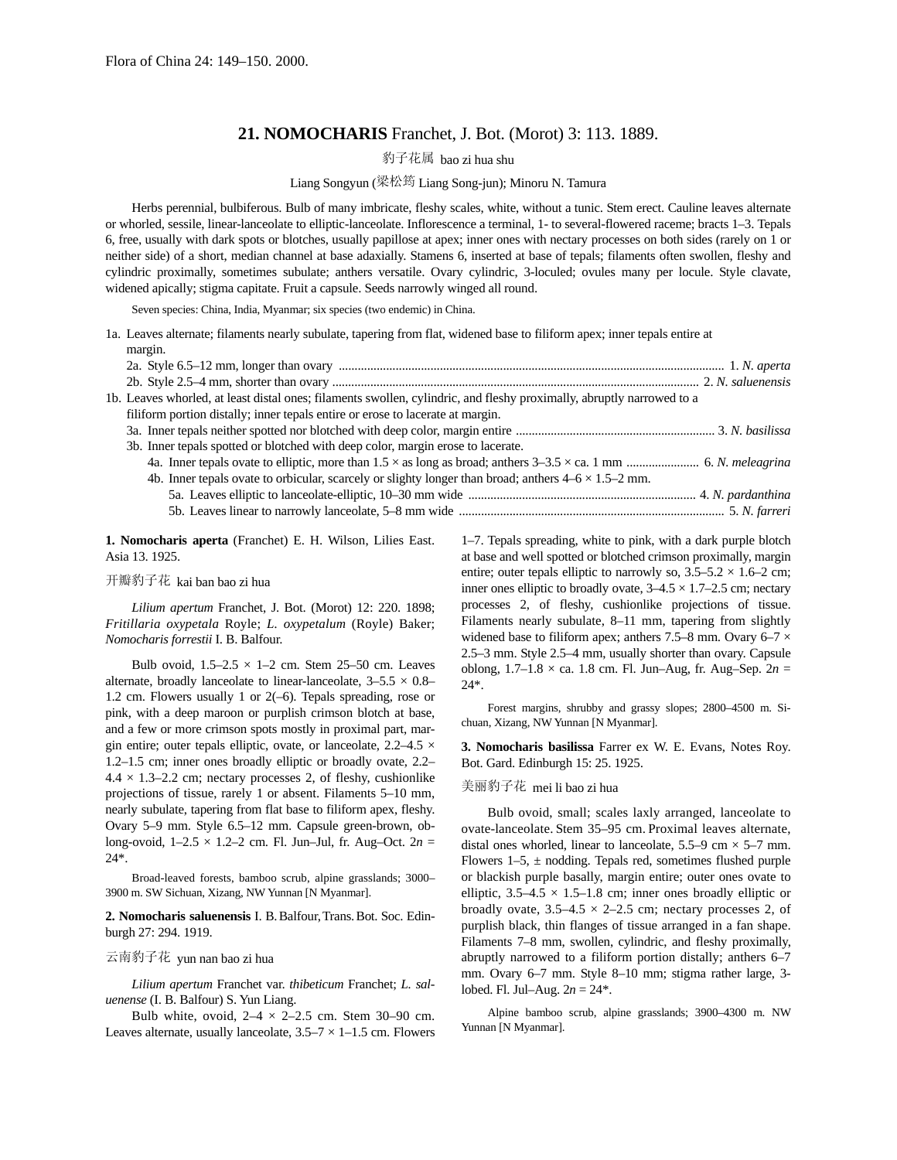# **21. NOMOCHARIS** Franchet, J. Bot. (Morot) 3: 113. 1889.

豹子花属 bao zi hua shu

### Liang Songyun (梁松筠 Liang Song-jun); Minoru N. Tamura

Herbs perennial, bulbiferous. Bulb of many imbricate, fleshy scales, white, without a tunic. Stem erect. Cauline leaves alternate or whorled, sessile, linear-lanceolate to elliptic-lanceolate. Inflorescence a terminal, 1- to several-flowered raceme; bracts 1–3. Tepals 6, free, usually with dark spots or blotches, usually papillose at apex; inner ones with nectary processes on both sides (rarely on 1 or neither side) of a short, median channel at base adaxially. Stamens 6, inserted at base of tepals; filaments often swollen, fleshy and cylindric proximally, sometimes subulate; anthers versatile. Ovary cylindric, 3-loculed; ovules many per locule. Style clavate, widened apically; stigma capitate. Fruit a capsule. Seeds narrowly winged all round.

Seven species: China, India, Myanmar; six species (two endemic) in China.

1a. Leaves alternate; filaments nearly subulate, tapering from flat, widened base to filiform apex; inner tepals entire at

| margin.                                                                                                               |
|-----------------------------------------------------------------------------------------------------------------------|
|                                                                                                                       |
|                                                                                                                       |
| 1b. Leaves whorled, at least distal ones; filaments swollen, cylindric, and fleshy proximally, abruptly narrowed to a |
| filiform portion distally; inner tepals entire or erose to lacerate at margin.                                        |
|                                                                                                                       |
| 3b. Inner tepals spotted or blotched with deep color, margin erose to lacerate.                                       |
|                                                                                                                       |
| 4b. Inner tepals ovate to orbicular, scarcely or slighty longer than broad; anthers $4-6 \times 1.5-2$ mm.            |
|                                                                                                                       |
|                                                                                                                       |

**1. Nomocharis aperta** (Franchet) E. H. Wilson, Lilies East. Asia 13. 1925.

#### 开瓣豹子花 kai ban bao zi hua

*Lilium apertum* Franchet, J. Bot. (Morot) 12: 220. 1898; *Fritillaria oxypetala* Royle; *L. oxypetalum* (Royle) Baker; *Nomocharis forrestii* I. B. Balfour.

Bulb ovoid,  $1.5-2.5 \times 1-2$  cm. Stem 25-50 cm. Leaves alternate, broadly lanceolate to linear-lanceolate,  $3-5.5 \times 0.8-$ 1.2 cm. Flowers usually 1 or 2(–6). Tepals spreading, rose or pink, with a deep maroon or purplish crimson blotch at base, and a few or more crimson spots mostly in proximal part, margin entire; outer tepals elliptic, ovate, or lanceolate,  $2.2-4.5 \times$ 1.2–1.5 cm; inner ones broadly elliptic or broadly ovate, 2.2–  $4.4 \times 1.3$ –2.2 cm; nectary processes 2, of fleshy, cushionlike projections of tissue, rarely 1 or absent. Filaments 5–10 mm, nearly subulate, tapering from flat base to filiform apex, fleshy. Ovary 5–9 mm. Style 6.5–12 mm. Capsule green-brown, oblong-ovoid, 1–2.5 × 1.2–2 cm. Fl. Jun–Jul, fr. Aug–Oct. 2*n* = 24\*.

Broad-leaved forests, bamboo scrub, alpine grasslands; 3000– 3900 m. SW Sichuan, Xizang, NW Yunnan [N Myanmar].

**2. Nomocharis saluenensis** I. B.Balfour,Trans.Bot. Soc. Edinburgh 27: 294. 1919.

# 云南豹子花 yun nan bao zi hua

*Lilium apertum* Franchet var. *thibeticum* Franchet; *L. saluenense* (I. B. Balfour) S. Yun Liang.

Bulb white, ovoid,  $2-4 \times 2-2.5$  cm. Stem 30-90 cm. Leaves alternate, usually lanceolate,  $3.5-7 \times 1-1.5$  cm. Flowers

1–7. Tepals spreading, white to pink, with a dark purple blotch at base and well spotted or blotched crimson proximally, margin entire; outer tepals elliptic to narrowly so,  $3.5-5.2 \times 1.6-2$  cm; inner ones elliptic to broadly ovate,  $3-4.5 \times 1.7-2.5$  cm; nectary processes 2, of fleshy, cushionlike projections of tissue. Filaments nearly subulate, 8–11 mm, tapering from slightly widened base to filiform apex; anthers 7.5–8 mm. Ovary 6–7 × 2.5–3 mm. Style 2.5–4 mm, usually shorter than ovary. Capsule oblong, 1.7–1.8 × ca. 1.8 cm. Fl. Jun–Aug, fr. Aug–Sep. 2*n* = 24\*.

Forest margins, shrubby and grassy slopes; 2800–4500 m. Sichuan, Xizang, NW Yunnan [N Myanmar].

**3. Nomocharis basilissa** Farrer ex W. E. Evans, Notes Roy. Bot. Gard. Edinburgh 15: 25. 1925.

#### 美丽豹子花 mei li bao zi hua

Bulb ovoid, small; scales laxly arranged, lanceolate to ovate-lanceolate. Stem 35–95 cm. Proximal leaves alternate, distal ones whorled, linear to lanceolate,  $5.5-9$  cm  $\times$  5-7 mm. Flowers  $1-5$ ,  $\pm$  nodding. Tepals red, sometimes flushed purple or blackish purple basally, margin entire; outer ones ovate to elliptic,  $3.5-4.5 \times 1.5-1.8$  cm; inner ones broadly elliptic or broadly ovate,  $3.5-4.5 \times 2-2.5$  cm; nectary processes 2, of purplish black, thin flanges of tissue arranged in a fan shape. Filaments 7–8 mm, swollen, cylindric, and fleshy proximally, abruptly narrowed to a filiform portion distally; anthers 6–7 mm. Ovary 6–7 mm. Style 8–10 mm; stigma rather large, 3 lobed. Fl. Jul–Aug. 2*n* = 24\*.

Alpine bamboo scrub, alpine grasslands; 3900–4300 m. NW Yunnan [N Myanmar].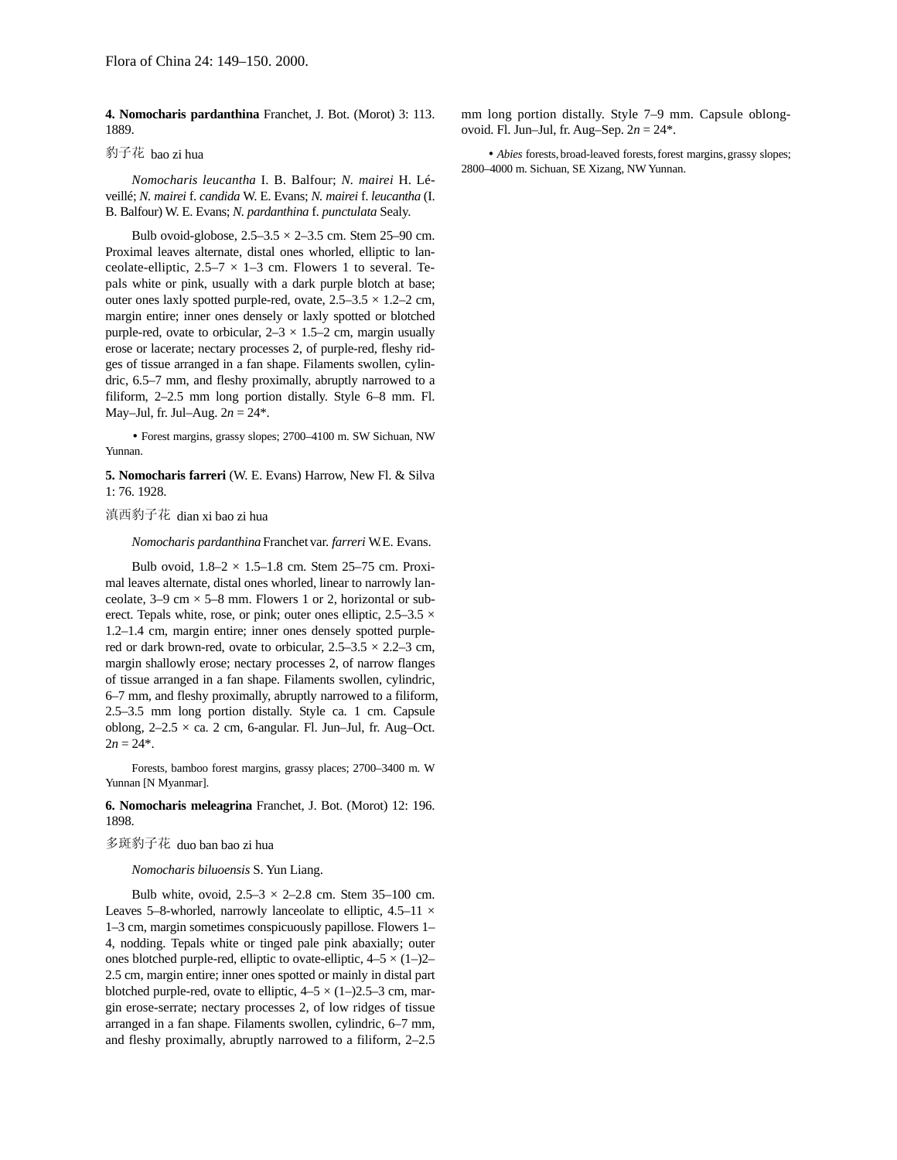**4. Nomocharis pardanthina** Franchet, J. Bot. (Morot) 3: 113. 1889.

# 豹子花 bao zi hua

*Nomocharis leucantha* I. B. Balfour; *N. mairei* H. Léveillé; *N. mairei* f. *candida* W. E. Evans; *N. mairei* f. *leucantha* (I. B. Balfour) W. E. Evans; *N. pardanthina* f. *punctulata* Sealy.

Bulb ovoid-globose,  $2.5-3.5 \times 2-3.5$  cm. Stem 25-90 cm. Proximal leaves alternate, distal ones whorled, elliptic to lanceolate-elliptic,  $2.5-7 \times 1-3$  cm. Flowers 1 to several. Tepals white or pink, usually with a dark purple blotch at base; outer ones laxly spotted purple-red, ovate,  $2.5-3.5 \times 1.2-2$  cm, margin entire; inner ones densely or laxly spotted or blotched purple-red, ovate to orbicular,  $2-3 \times 1.5-2$  cm, margin usually erose or lacerate; nectary processes 2, of purple-red, fleshy ridges of tissue arranged in a fan shape. Filaments swollen, cylindric, 6.5–7 mm, and fleshy proximally, abruptly narrowed to a filiform, 2–2.5 mm long portion distally. Style 6–8 mm. Fl. May–Jul, fr. Jul–Aug. 2*n* = 24\*.

• Forest margins, grassy slopes; 2700–4100 m. SW Sichuan, NW Yunnan.

**5. Nomocharis farreri** (W. E. Evans) Harrow, New Fl. & Silva 1: 76. 1928.

### 滇西豹子花 dian xi bao zi hua

*Nomocharis pardanthina* Franchet var. *farreri* W. E. Evans.

Bulb ovoid,  $1.8-2 \times 1.5-1.8$  cm. Stem 25-75 cm. Proximal leaves alternate, distal ones whorled, linear to narrowly lanceolate,  $3-9$  cm  $\times$  5–8 mm. Flowers 1 or 2, horizontal or suberect. Tepals white, rose, or pink; outer ones elliptic,  $2.5-3.5 \times$ 1.2–1.4 cm, margin entire; inner ones densely spotted purplered or dark brown-red, ovate to orbicular,  $2.5-3.5 \times 2.2-3$  cm, margin shallowly erose; nectary processes 2, of narrow flanges of tissue arranged in a fan shape. Filaments swollen, cylindric, 6–7 mm, and fleshy proximally, abruptly narrowed to a filiform, 2.5–3.5 mm long portion distally. Style ca. 1 cm. Capsule oblong,  $2-2.5 \times$  ca. 2 cm, 6-angular. Fl. Jun–Jul, fr. Aug–Oct.  $2n = 24$ <sup>\*</sup>.

Forests, bamboo forest margins, grassy places; 2700–3400 m. W Yunnan [N Myanmar].

**6. Nomocharis meleagrina** Franchet, J. Bot. (Morot) 12: 196. 1898.

#### 多斑豹子花 duo ban bao zi hua

*Nomocharis biluoensis* S. Yun Liang.

Bulb white, ovoid,  $2.5-3 \times 2-2.8$  cm. Stem 35-100 cm. Leaves 5–8-whorled, narrowly lanceolate to elliptic,  $4.5-11 \times$ 1–3 cm, margin sometimes conspicuously papillose. Flowers 1– 4, nodding. Tepals white or tinged pale pink abaxially; outer ones blotched purple-red, elliptic to ovate-elliptic,  $4-5 \times (1-2)$ 2.5 cm, margin entire; inner ones spotted or mainly in distal part blotched purple-red, ovate to elliptic,  $4-5 \times (1-)2.5-3$  cm, margin erose-serrate; nectary processes 2, of low ridges of tissue arranged in a fan shape. Filaments swollen, cylindric, 6–7 mm, and fleshy proximally, abruptly narrowed to a filiform, 2–2.5

mm long portion distally. Style 7–9 mm. Capsule oblongovoid. Fl. Jun–Jul, fr. Aug–Sep. 2*n* = 24\*.

• *Abies* forests, broad-leaved forests, forest margins, grassy slopes; 2800–4000 m. Sichuan, SE Xizang, NW Yunnan.